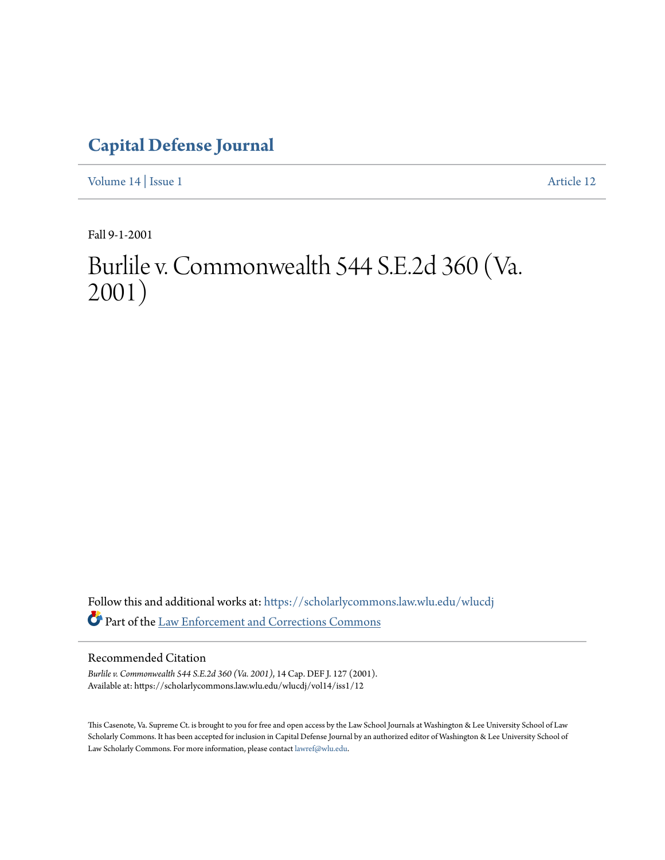## **[Capital Defense Journal](https://scholarlycommons.law.wlu.edu/wlucdj?utm_source=scholarlycommons.law.wlu.edu%2Fwlucdj%2Fvol14%2Fiss1%2F12&utm_medium=PDF&utm_campaign=PDFCoverPages)**

[Volume 14](https://scholarlycommons.law.wlu.edu/wlucdj/vol14?utm_source=scholarlycommons.law.wlu.edu%2Fwlucdj%2Fvol14%2Fiss1%2F12&utm_medium=PDF&utm_campaign=PDFCoverPages) | [Issue 1](https://scholarlycommons.law.wlu.edu/wlucdj/vol14/iss1?utm_source=scholarlycommons.law.wlu.edu%2Fwlucdj%2Fvol14%2Fiss1%2F12&utm_medium=PDF&utm_campaign=PDFCoverPages) [Article 12](https://scholarlycommons.law.wlu.edu/wlucdj/vol14/iss1/12?utm_source=scholarlycommons.law.wlu.edu%2Fwlucdj%2Fvol14%2Fiss1%2F12&utm_medium=PDF&utm_campaign=PDFCoverPages)

Fall 9-1-2001

# Burlile v. Commonwealth 544 S.E.2d 360 (Va. 2001)

Follow this and additional works at: [https://scholarlycommons.law.wlu.edu/wlucdj](https://scholarlycommons.law.wlu.edu/wlucdj?utm_source=scholarlycommons.law.wlu.edu%2Fwlucdj%2Fvol14%2Fiss1%2F12&utm_medium=PDF&utm_campaign=PDFCoverPages) Part of the [Law Enforcement and Corrections Commons](http://network.bepress.com/hgg/discipline/854?utm_source=scholarlycommons.law.wlu.edu%2Fwlucdj%2Fvol14%2Fiss1%2F12&utm_medium=PDF&utm_campaign=PDFCoverPages)

### Recommended Citation

*Burlile v. Commonwealth 544 S.E.2d 360 (Va. 2001)*, 14 Cap. DEF J. 127 (2001). Available at: https://scholarlycommons.law.wlu.edu/wlucdj/vol14/iss1/12

This Casenote, Va. Supreme Ct. is brought to you for free and open access by the Law School Journals at Washington & Lee University School of Law Scholarly Commons. It has been accepted for inclusion in Capital Defense Journal by an authorized editor of Washington & Lee University School of Law Scholarly Commons. For more information, please contact [lawref@wlu.edu.](mailto:lawref@wlu.edu)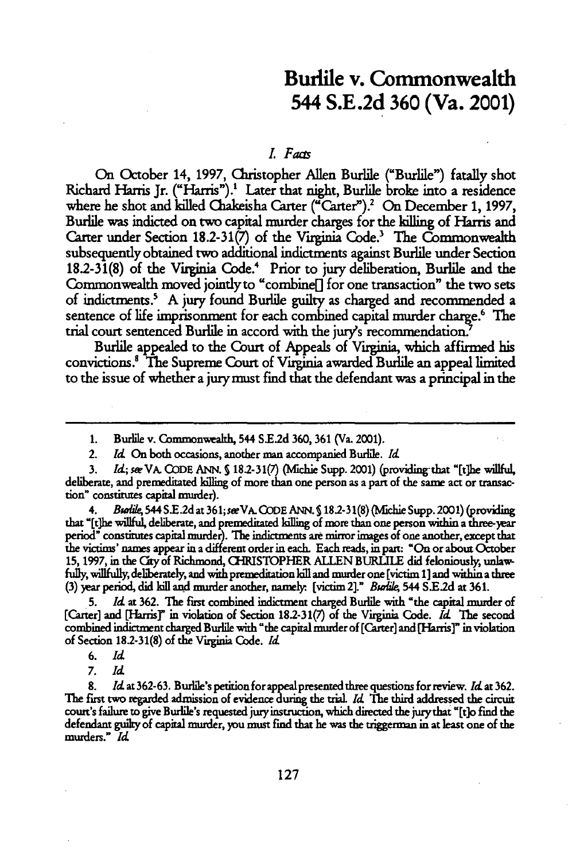### Burlile v. Commonwealth **544 S.E.2d 360** (Va. 2001)

#### *LFacts*

On October 14, 1997, Christopher Allen Burlile ("Burlile") fatally shot Richard Harris Jr. ("Harris").<sup>1</sup> Later that night, Burlile broke into a residence where he shot and killed Chakeisha Carter ("Carter").<sup>2</sup> On December 1, 1997, Burlile was indicted on two capital murder charges for the killing of Harris and Carter under Section 18.2-31(7) of the Virginia Code.' The Commonwealth subsequently obtained two additional indictments against Burile under Section 18.2-31(8) of the Virginia Code.<sup>4</sup> Prior to jury deliberation, Burlile and the Commonwealth moved jointly to "combine] for one transaction" the two sets of indictments.' A jury found Burlile guilty as charged and recommended a sentence of life imprisonment for each combined capital murder charge.<sup>6</sup> The trial court sentenced Burile in accord with the jury's recommendation.

Burile appealed to the Court of Appeals of Virginia, which affirmed his convictions. The Supreme Court of Virginia awarded Burlie an appeal limited to the issue of whether a jury must *find* that the defendant was a principal in the

2. *Id* On both occasions, another **man** accompanied Burlile. *Id*

**4.** *Bidi* 544 **S.E.2d** at 361;seVA.CODE **ANN. S** 18.2-31(8) (Nfichie Supp. 2001) (providing that "[tihe willful, deliberate, and premeditated killing of more than one person within a three-year period" constitutes capital nurder). The indictments are minor images of one another, except that the victims' names appear in a different order in each. Each reads, in part: "On or about October **15,** 1997, in the Gty of Richmond, CHRISTOPHER **ALLEN BURLULE** did feloniously, unlaw fully, willfully, deliberately, and with premeditation kill and murder one [victim 1] and within a three **(3)** )ear period, did kill and murder another, namely. [victim 2]." *BwMie,* 544 S.E.2d at 361.

**5.** *Id* at **362.** The frst combined indictment charged Burlile with "the capital murder of [Carter] and [Harris]" in violation of Section 18.2-31(7) of the Virginia Code. *Id The* second combined indictment charged Burlile with "the capital murder of [Carter] and [Harris]" in violation of Section **18.2-31(8)** of the Virginia Code. *Id*

<sup>1.</sup> Burlile v. Commonwealth, 544 **S.E.2d** 360, 361 (Va. 2001).

**<sup>3.</sup>** *Id; sm* VA. **CODE** ANN. **S** 18.2-31(7) (Michie Supp. 2001) (providing- that "[t]he willful, deliberate, and premeditated killing of more than one person as a part of the same act or transaction" constitutes capital murder).

**<sup>6.</sup>** *Id*

<sup>7.</sup> *Id*

<sup>8.</sup> Id. at 362-63. Burlile's petition for appeal presented three questions for review. Id. at 362. **The** first two regarded admission of evidence during the trial *Id The* third addressed the circuit court's failure to give Burlile's requested juryinstruction, which directed the jurythat "[t]o find the defendant guilky of capital murder, you must find that he was the triggerman in at least one of the murders." *Id*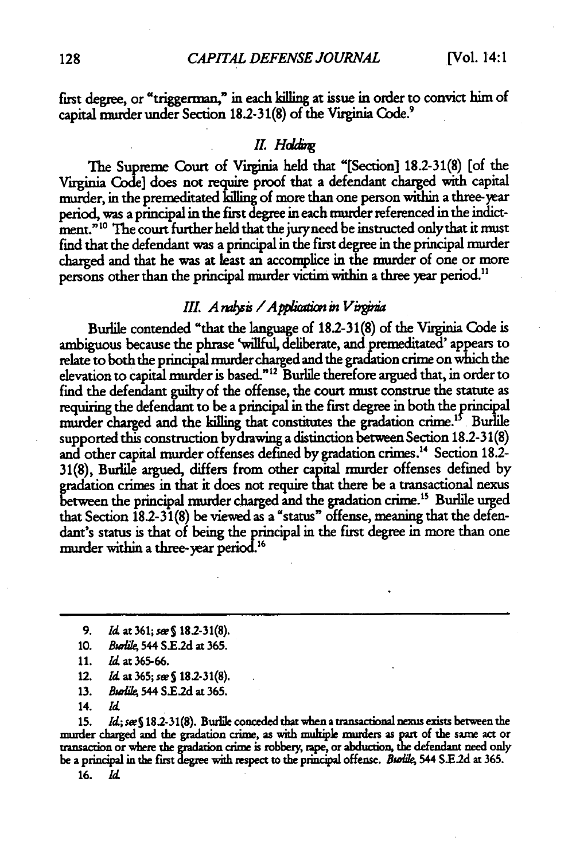first degree, or "triggerman," in each killing at issue in order to convict him of capital murder under Section **18.2-31(8)** of the Virginia Code.9

### *II.* Holding

The Supreme Court of Virginia held that "[Section] **18.2-31(8)** [of the Virginia Code] does not require proof that a defendant charged with capital murder, in the premeditated klling of more than one person within a three-year period, was a principal in the first degree in each murder referenced in the indictment."<sup>10</sup> The court further held that the jury need be instructed only that it must find that the defendant **was a** principal in the first degree in the principal murder charged and that he was at least an accomplice in the murder of one or more persons other than the principal murder victim within a three year period."

### *III. A ralysis* / Application in Virginia

Burile contended "that the language of **182-31(8)** of the Virginia Code is ambiguous because the phrase 'willful, deliberate, and premeditated' appears to relate to both the principal **murder** charged and the gradation crime on which the elevation to capital murder is based." **2** Burlile therefore argued that, in order to find the defendant guilty of the offense, the court must construe the statute as requiring the defendant to be a principal in the first degree in both the principal murder charged and the killing that constitutes the gradation crime.<sup>15</sup> Burlile supported this construction bydrawing a distinction between Section 18.2-31(8) and other capital murder offenses defined **by** gradation crimes." Section **18.2-** 31(8), Burlile argued, differs from other capital murder offenses defined by gradation crimes in that it does not require that there be a transactional nexus between the principal murder charged and the gradation crime.<sup>15</sup> Burlile urged that Section 182-31(8) be viewed as a "status" offense, meaning that the defendant's status is that of being the principal in the first degree in more than one murder within a three-year period. <sup>16</sup>

- **13.** *Bw i/k* 544 **S.E2d** at **365.**
- 14. *Id*

**15.** *Id;seeS* **182-31(8).** Burile conceded that whenatransactional nexus exists between the murder charged and the gradation crime, as with multiple muders as part of the same act or transaction or where **the** nraaio crime is robbery rape, or abduction, **dte** defendant need only be a principal in the first degree with respect to the principal offense. *Burlile*, 544 S.E.2d at 365.

**16.** *Id*

<sup>9.</sup> *Id* at 361; *sees* **18.2-31(8).**

**<sup>10.</sup>** *B, ile,* 544 S.E.2d at 365.

<sup>11.</sup> *d* at 365-66.

<sup>12.</sup> *Id* at **365;** seeS **182.-31(8).**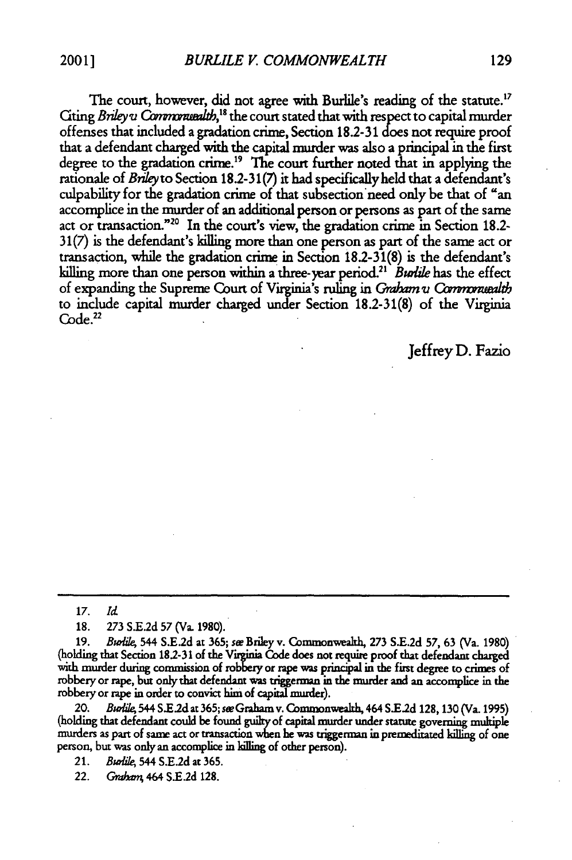The court, however, did not agree with Burlile's reading of the statute.<sup>17</sup> Citing *Bnley u* Commonuealth,<sup>18</sup> the court stated that with respect to capital murder offenses that included a gradation crime, Section 18.2-31 does not require proof that a defendant charged with the capital murder was also a principal in the first degree to the gradation crime." The court further noted that in applying the rationale of *Briley* to Section 18.2-31(7) it had specifically held that a defendant's culpability for the gradation crime of that subsection need only be that of "an accomplice in the murder of an additional person or persons as part of the same act or transaction.""0 In the court's view, the gradation crime in Section **18.2-** 31(7) is the defendant's killing more than one person as part of the same act or transaction, while the gradation crime in Section 18.2-31(8) is the defendant's killing more than one person within a three-year period.<sup>21</sup> Burlile has the effect of expanding the Supreme Court of Virginia's ruling in *Graham u Commonuealth* to include capital murder charged under Section 182-31(8) of the Virginia  $Code.<sup>22</sup>$ 

Jeffrey **D.** Fazio

**17.** *Id*

18. **273** S.E.2d **57** (Va. 1980).

19. Buie, 544 S.E.2d at **365;** see Briley v. Commonwealth, **273** S.E.2d 57, 63 (Va. 1980) (holding that Section 18.2-31 of the Virginia Code does not require proof that defendant charged with murder during commission **of rob** or rape was principal in the first degree to crimes of robbery or rape, but only that defendant was triggerman in the murder and an accomplice in the robbery or rape in order to convict him of capital murder).

20. *Burlile*, 544 S.E.2d at 365; see Graham v. Commonwealth, 464 S.E.2d 128, 130 (Va. 1995) (holding that defendant could be found gulty of capital murder under statute governing multiple murders as part of same act or transaction **when** he was triggerman in premeditated killing of one person, but was only an accomplice in killing of other person).

21. *Burlile*, 544 S.E.2d at 365.

22. Grahan <sup>464</sup>**S E.2d** 128.